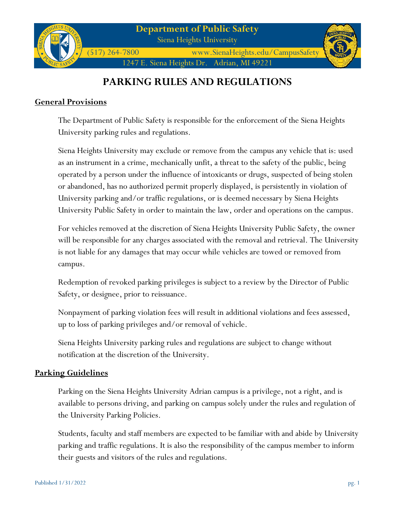

(517) 264-7800 www.SienaHeights.edu/CampusSafety 1247 E. Siena Heights Dr. Adrian, MI 49221

# **PARKING RULES AND REGULATIONS**

## **General Provisions**

The Department of Public Safety is responsible for the enforcement of the Siena Heights University parking rules and regulations.

Siena Heights University may exclude or remove from the campus any vehicle that is: used as an instrument in a crime, mechanically unfit, a threat to the safety of the public, being operated by a person under the influence of intoxicants or drugs, suspected of being stolen or abandoned, has no authorized permit properly displayed, is persistently in violation of University parking and/or traffic regulations, or is deemed necessary by Siena Heights University Public Safety in order to maintain the law, order and operations on the campus.

For vehicles removed at the discretion of Siena Heights University Public Safety, the owner will be responsible for any charges associated with the removal and retrieval. The University is not liable for any damages that may occur while vehicles are towed or removed from campus.

Redemption of revoked parking privileges is subject to a review by the Director of Public Safety, or designee, prior to reissuance.

Nonpayment of parking violation fees will result in additional violations and fees assessed, up to loss of parking privileges and/or removal of vehicle.

Siena Heights University parking rules and regulations are subject to change without notification at the discretion of the University.

## **Parking Guidelines**

Parking on the Siena Heights University Adrian campus is a privilege, not a right, and is available to persons driving, and parking on campus solely under the rules and regulation of the University Parking Policies.

Students, faculty and staff members are expected to be familiar with and abide by University parking and traffic regulations. It is also the responsibility of the campus member to inform their guests and visitors of the rules and regulations.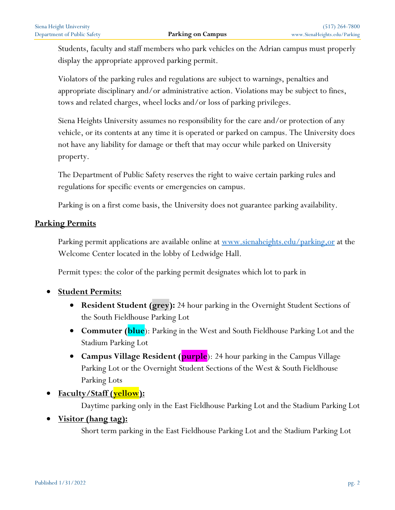Students, faculty and staff members who park vehicles on the Adrian campus must properly display the appropriate approved parking permit.

Violators of the parking rules and regulations are subject to warnings, penalties and appropriate disciplinary and/or administrative action. Violations may be subject to fines, tows and related charges, wheel locks and/or loss of parking privileges.

Siena Heights University assumes no responsibility for the care and/or protection of any vehicle, or its contents at any time it is operated or parked on campus. The University does not have any liability for damage or theft that may occur while parked on University property.

The Department of Public Safety reserves the right to waive certain parking rules and regulations for specific events or emergencies on campus.

Parking is on a first come basis, the University does not guarantee parking availability.

## **Parking Permits**

Parking permit applications are available online at <u>www.sienaheights.edu/parking,or</u> at the Welcome Center located in the lobby of Ledwidge Hall.

Permit types: the color of the parking permit designates which lot to park in

- **Student Permits:**
	- **Resident Student (grey):** 24 hour parking in the Overnight Student Sections of the South Fieldhouse Parking Lot
	- **Commuter (blue**): Parking in the West and South Fieldhouse Parking Lot and the Stadium Parking Lot
	- **Campus Village Resident (purple**): 24 hour parking in the Campus Village Parking Lot or the Overnight Student Sections of the West & South Fieldhouse Parking Lots
- **Faculty/Staff (yellow):**

Daytime parking only in the East Fieldhouse Parking Lot and the Stadium Parking Lot

• **Visitor (hang tag):**

Short term parking in the East Fieldhouse Parking Lot and the Stadium Parking Lot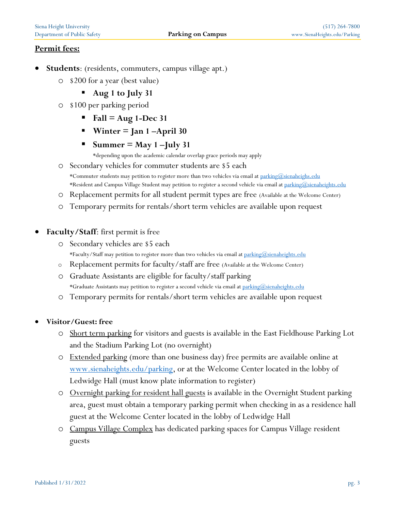## **Permit fees:**

- **Students**: (residents, commuters, campus village apt.)
	- o \$200 for a year (best value)
		- **Aug 1 to July 31**
	- o \$100 per parking period
		- $\blacksquare$  Fall = Aug 1-Dec 31
		- **Winter = Jan 1 –April 30**
		- $Summer = May 1 July 31$ 
			- \*depending upon the academic calendar overlap grace periods may apply
	- o Secondary vehicles for commuter students are \$5 each \*Commuter students may petition to register more than two vehicles via email a[t parking@sienaheighs.edu](mailto:parking@sienaheighs.edu) \*Resident and Campus Village Student may petition to register a second vehicle via email at [parking@sienaheights.edu](mailto:parking@sienaheights.edu)
	- o Replacement permits for all student permit types are free (Available at the Welcome Center)
	- o Temporary permits for rentals/short term vehicles are available upon request
- **Faculty/Staff**: first permit is free
	- o Secondary vehicles are \$5 each \*Faculty/Staff may petition to register more than two vehicles via email a[t parking@sienaheights.edu](mailto:parking@sienaheights.edu)
	- o Replacement permits for faculty/staff are free (Available at the Welcome Center)
	- o Graduate Assistants are eligible for faculty/staff parking \*Graduate Assistants may petition to register a second vehicle via email at [parking@sienaheights.edu](mailto:parking@sienaheights.edu)
	- o Temporary permits for rentals/short term vehicles are available upon request
- **Visitor/Guest: free**
	- o Short term parking for visitors and guests is available in the East Fieldhouse Parking Lot and the Stadium Parking Lot (no overnight)
	- o Extended parking (more than one business day) free permits are available online at [www.sienaheights.edu/parking,](http://www.sienaheights.edu/parking) or at the Welcome Center located in the lobby of Ledwidge Hall (must know plate information to register)
	- o Overnight parking for resident hall guests is available in the Overnight Student parking area, guest must obtain a temporary parking permit when checking in as a residence hall guest at the Welcome Center located in the lobby of Ledwidge Hall
	- o Campus Village Complex has dedicated parking spaces for Campus Village resident guests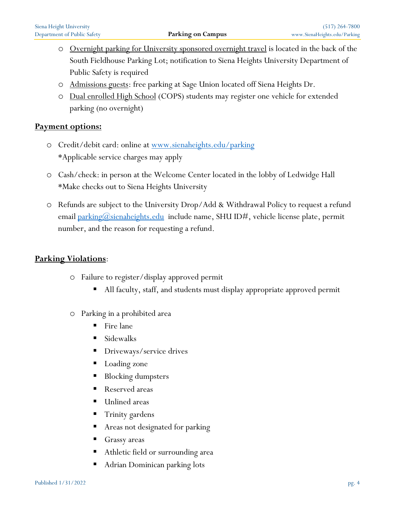- o Overnight parking for University sponsored overnight travel is located in the back of the South Fieldhouse Parking Lot; notification to Siena Heights University Department of Public Safety is required
- o Admissions guests: free parking at Sage Union located off Siena Heights Dr.
- o Dual enrolled High School (COPS) students may register one vehicle for extended parking (no overnight)

## **Payment options:**

- o Credit/debit card: online at [www.sienaheights.edu/parking](http://www.sienaheights.edu/parking) \*Applicable service charges may apply
- o Cash/check: in person at the Welcome Center located in the lobby of Ledwidge Hall \*Make checks out to Siena Heights University
- o Refunds are subject to the University Drop/Add & Withdrawal Policy to request a refund email [parking@sienaheights.edu](mailto:parking@sienaheights.edu) include name, SHU ID#, vehicle license plate, permit number, and the reason for requesting a refund.

## **Parking Violations**:

- o Failure to register/display approved permit
	- All faculty, staff, and students must display appropriate approved permit
- o Parking in a prohibited area
	- $\blacksquare$  Fire lane
	- Sidewalks
	- Driveways/service drives
	- Loading zone
	- Blocking dumpsters
	- Reserved areas
	- Unlined areas
	- Trinity gardens
	- Areas not designated for parking
	- Grassy areas
	- Athletic field or surrounding area
	- Adrian Dominican parking lots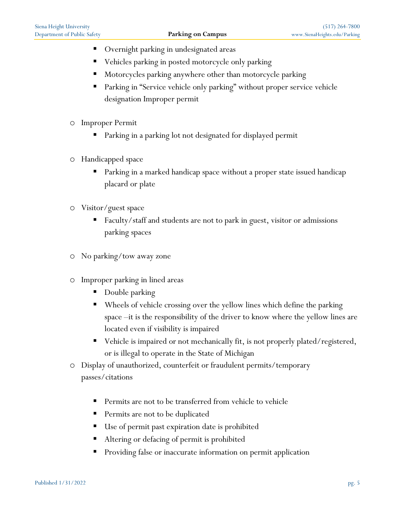- Overnight parking in undesignated areas
- Vehicles parking in posted motorcycle only parking
- Motorcycles parking anywhere other than motorcycle parking
- Parking in "Service vehicle only parking" without proper service vehicle designation Improper permit
- o Improper Permit
	- Parking in a parking lot not designated for displayed permit
- o Handicapped space
	- Parking in a marked handicap space without a proper state issued handicap placard or plate
- o Visitor/guest space
	- Faculty/staff and students are not to park in guest, visitor or admissions parking spaces
- o No parking/tow away zone
- o Improper parking in lined areas
	- Double parking
	- Wheels of vehicle crossing over the yellow lines which define the parking space –it is the responsibility of the driver to know where the yellow lines are located even if visibility is impaired
	- Vehicle is impaired or not mechanically fit, is not properly plated/registered, or is illegal to operate in the State of Michigan
- o Display of unauthorized, counterfeit or fraudulent permits/temporary passes/citations
	- Permits are not to be transferred from vehicle to vehicle
	- Permits are not to be duplicated
	- Use of permit past expiration date is prohibited
	- Altering or defacing of permit is prohibited
	- Providing false or inaccurate information on permit application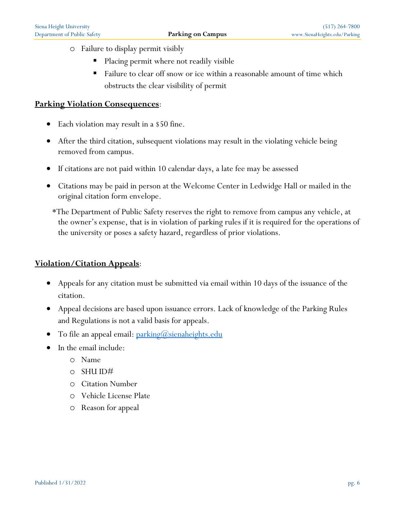- o Failure to display permit visibly
	- Placing permit where not readily visible
	- Failure to clear off snow or ice within a reasonable amount of time which obstructs the clear visibility of permit

#### **Parking Violation Consequences**:

- Each violation may result in a \$50 fine.
- After the third citation, subsequent violations may result in the violating vehicle being removed from campus.
- If citations are not paid within 10 calendar days, a late fee may be assessed
- Citations may be paid in person at the Welcome Center in Ledwidge Hall or mailed in the original citation form envelope.
	- \*The Department of Public Safety reserves the right to remove from campus any vehicle, at the owner's expense, that is in violation of parking rules if it is required for the operations of the university or poses a safety hazard, regardless of prior violations.

### **Violation/Citation Appeals**:

- Appeals for any citation must be submitted via email within 10 days of the issuance of the citation.
- Appeal decisions are based upon issuance errors. Lack of knowledge of the Parking Rules and Regulations is not a valid basis for appeals.
- To file an appeal email:  $\frac{\text{parking}(a)}{\text{seineal}}$
- In the email include:
	- o Name
	- o SHU ID#
	- o Citation Number
	- o Vehicle License Plate
	- o Reason for appeal